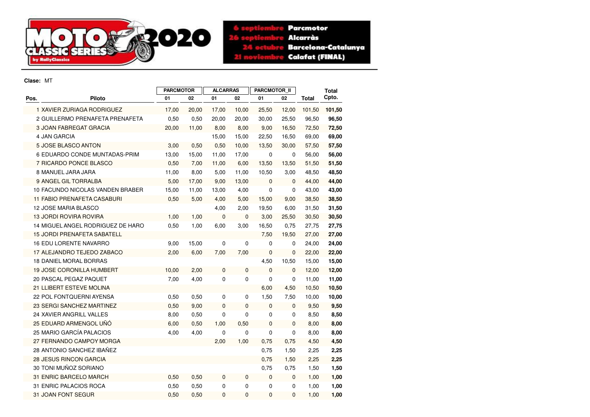

**6** septiembre Parcmotor 26 septiembre **Alcarràs Barcelona-Catalunya** 24 octubre **Calafat (FINAL)** 21 noviembre

**Clase:** MT

|      |                                    | <b>PARCMOTOR</b> |       | <b>ALCARRAS</b> |             | <b>PARCMOTOR II</b> |              |        | <b>Total</b> |
|------|------------------------------------|------------------|-------|-----------------|-------------|---------------------|--------------|--------|--------------|
| Pos. | <b>Piloto</b>                      | 01               | 02    | 01              | 02          | 01                  | 02           | Total  | Cpto.        |
|      | 1 XAVIER ZURIAGA RODRIGUEZ         | 17,00            | 20,00 | 17,00           | 10,00       | 25,50               | 12,00        | 101,50 | 101,50       |
|      | 2 GUILLERMO PRENAFETA PRENAFETA    | 0,50             | 0,50  | 20,00           | 20,00       | 30,00               | 25,50        | 96,50  | 96,50        |
|      | 3 JOAN FABREGAT GRACIA             | 20,00            | 11,00 | 8,00            | 8,00        | 9,00                | 16,50        | 72,50  | 72,50        |
|      | <b>4 JAN GARCIA</b>                |                  |       | 15,00           | 15,00       | 22,50               | 16,50        | 69,00  | 69,00        |
|      | <b>5 JOSE BLASCO ANTON</b>         | 3,00             | 0,50  | 0,50            | 10,00       | 13,50               | 30,00        | 57,50  | 57,50        |
|      | 6 EDUARDO CONDE MUNTADAS-PRIM      | 13,00            | 15,00 | 11,00           | 17,00       | 0                   | 0            | 56,00  | 56,00        |
|      | 7 RICARDO PONCE BLASCO             | 0,50             | 7,00  | 11,00           | 6,00        | 13,50               | 13,50        | 51,50  | 51,50        |
|      | 8 MANUEL JARA JARA                 | 11,00            | 8,00  | 5,00            | 11,00       | 10,50               | 3,00         | 48,50  | 48,50        |
|      | 9 ANGEL GIL TORRALBA               | 5,00             | 17,00 | 9,00            | 13,00       | $\mathbf{0}$        | $\mathbf{0}$ | 44,00  | 44,00        |
|      | 10 FACUNDO NICOLAS VANDEN BRABER   | 15,00            | 11,00 | 13,00           | 4,00        | $\mathbf 0$         | $\mathbf 0$  | 43,00  | 43,00        |
|      | 11 FABIO PRENAFETA CASABURI        | 0,50             | 5,00  | 4,00            | 5,00        | 15,00               | 9,00         | 38,50  | 38,50        |
|      | 12 JOSE MARIA BLASCO               |                  |       | 4,00            | 2,00        | 19,50               | 6,00         | 31,50  | 31,50        |
|      | <b>13 JORDI ROVIRA ROVIRA</b>      | 1,00             | 1,00  | 0               | 0           | 3,00                | 25,50        | 30,50  | 30,50        |
|      | 14 MIGUEL ANGEL RODRIGUEZ DE HARO  | 0,50             | 1,00  | 6,00            | 3,00        | 16,50               | 0,75         | 27,75  | 27,75        |
|      | <b>15 JORDI PRENAFETA SABATELL</b> |                  |       |                 |             | 7,50                | 19,50        | 27,00  | 27,00        |
|      | 16 EDU LORENTE NAVARRO             | 9,00             | 15,00 | 0               | 0           | $\mathbf 0$         | 0            | 24,00  | 24,00        |
|      | 17 ALEJANDRO TEJEDO ZABACO         | 2,00             | 6,00  | 7,00            | 7,00        | $\mathbf 0$         | $\mathbf 0$  | 22,00  | 22,00        |
|      | 18 DANIEL MORAL BORRAS             |                  |       |                 |             | 4,50                | 10,50        | 15,00  | 15,00        |
|      | <b>19 JOSE CORONILLA HUMBERT</b>   | 10,00            | 2,00  | 0               | $\mathbf 0$ | $\mathbf{0}$        | $\mathbf{0}$ | 12,00  | 12,00        |
|      | 20 PASCAL PEGAZ PAQUET             | 7,00             | 4,00  | 0               | $\mathbf 0$ | 0                   | 0            | 11,00  | 11,00        |
|      | 21 LLIBERT ESTEVE MOLINA           |                  |       |                 |             | 6,00                | 4,50         | 10,50  | 10,50        |
|      | 22 POL FONTQUERNI AYENSA           | 0,50             | 0,50  | 0               | 0           | 1,50                | 7,50         | 10,00  | 10,00        |
|      | 23 SERGI SANCHEZ MARTINEZ          | 0,50             | 9,00  | 0               | 0           | $\mathbf 0$         | $\mathbf 0$  | 9,50   | 9,50         |
|      | 24 XAVIER ANGRILL VALLES           | 8,00             | 0,50  | 0               | 0           | $\mathbf 0$         | 0            | 8,50   | 8,50         |
|      | 25 EDUARD ARMENGOL UÑÓ             | 6,00             | 0,50  | 1,00            | 0,50        | $\mathbf 0$         | $\mathbf{0}$ | 8,00   | 8,00         |
|      | 25 MARIO GARCÍA PALACIOS           | 4,00             | 4,00  | 0               | $\mathbf 0$ | $\mathbf 0$         | 0            | 8,00   | 8,00         |
|      | 27 FERNANDO CAMPOY MORGA           |                  |       | 2,00            | 1,00        | 0,75                | 0,75         | 4,50   | 4,50         |
|      | 28 ANTONIO SANCHEZ IBAÑEZ          |                  |       |                 |             | 0,75                | 1,50         | 2,25   | 2,25         |
|      | <b>28 JESUS RINCON GARCIA</b>      |                  |       |                 |             | 0,75                | 1,50         | 2,25   | 2,25         |
|      | 30 TONI MUÑOZ SORIANO              |                  |       |                 |             | 0,75                | 0,75         | 1,50   | 1,50         |
|      | 31 ENRIC BARCELO MARCH             | 0,50             | 0,50  | 0               | 0           | $\mathbf{0}$        | $\mathbf 0$  | 1,00   | 1,00         |
|      | 31 ENRIC PALACIOS ROCA             | 0,50             | 0,50  | 0               | 0           | 0                   | 0            | 1,00   | 1,00         |
|      | 31 JOAN FONT SEGUR                 | 0,50             | 0,50  | 0               | 0           | $\mathbf 0$         | $\mathbf{0}$ | 1,00   | 1,00         |